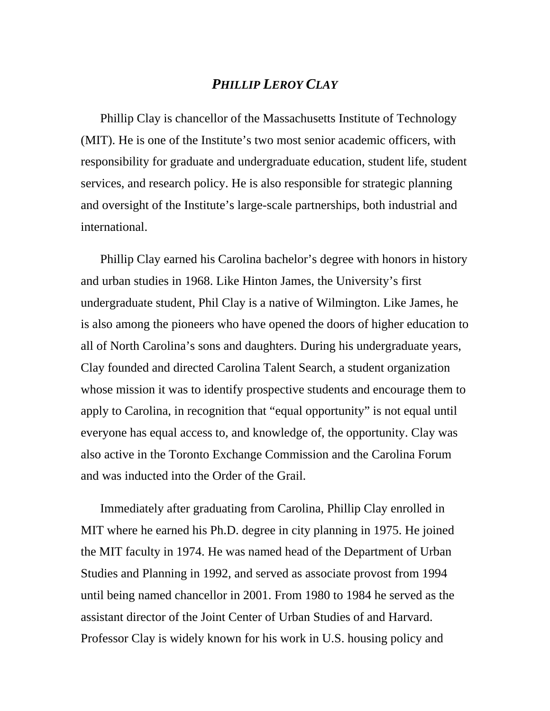## *PHILLIP LEROY CLAY*

Phillip Clay is chancellor of the Massachusetts Institute of Technology (MIT). He is one of the Institute's two most senior academic officers, with responsibility for graduate and undergraduate education, student life, student services, and research policy. He is also responsible for strategic planning and oversight of the Institute's large-scale partnerships, both industrial and international.

Phillip Clay earned his Carolina bachelor's degree with honors in history and urban studies in 1968. Like Hinton James, the University's first undergraduate student, Phil Clay is a native of Wilmington. Like James, he is also among the pioneers who have opened the doors of higher education to all of North Carolina's sons and daughters. During his undergraduate years, Clay founded and directed Carolina Talent Search, a student organization whose mission it was to identify prospective students and encourage them to apply to Carolina, in recognition that "equal opportunity" is not equal until everyone has equal access to, and knowledge of, the opportunity. Clay was also active in the Toronto Exchange Commission and the Carolina Forum and was inducted into the Order of the Grail.

Immediately after graduating from Carolina, Phillip Clay enrolled in MIT where he earned his Ph.D. degree in city planning in 1975. He joined the MIT faculty in 1974. He was named head of the Department of Urban Studies and Planning in 1992, and served as associate provost from 1994 until being named chancellor in 2001. From 1980 to 1984 he served as the assistant director of the Joint Center of Urban Studies of and Harvard. Professor Clay is widely known for his work in U.S. housing policy and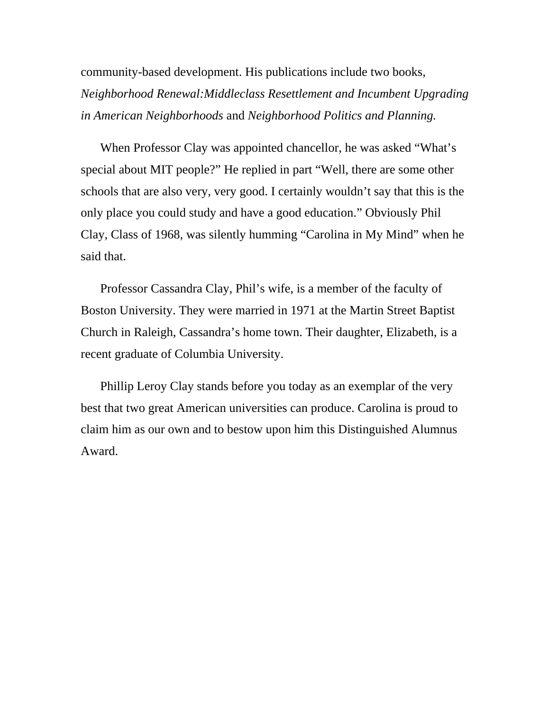community-based development. His publications include two books, *Neighborhood Renewal:Middleclass Resettlement and Incumbent Upgrading in American Neighborhoods* and *Neighborhood Politics and Planning.* 

When Professor Clay was appointed chancellor, he was asked "What's special about MIT people?" He replied in part "Well, there are some other schools that are also very, very good. I certainly wouldn't say that this is the only place you could study and have a good education." Obviously Phil Clay, Class of 1968, was silently humming "Carolina in My Mind" when he said that.

Professor Cassandra Clay, Phil's wife, is a member of the faculty of Boston University. They were married in 1971 at the Martin Street Baptist Church in Raleigh, Cassandra's home town. Their daughter, Elizabeth, is a recent graduate of Columbia University.

Phillip Leroy Clay stands before you today as an exemplar of the very best that two great American universities can produce. Carolina is proud to claim him as our own and to bestow upon him this Distinguished Alumnus Award.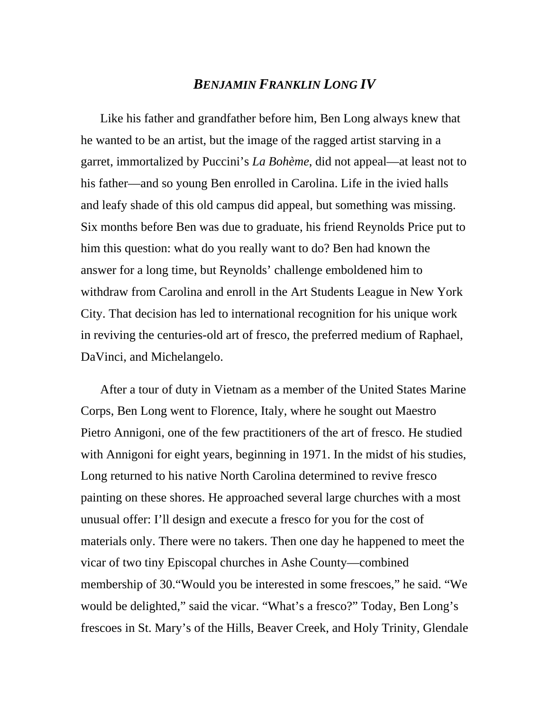## *BENJAMIN FRANKLIN LONG IV*

Like his father and grandfather before him, Ben Long always knew that he wanted to be an artist, but the image of the ragged artist starving in a garret, immortalized by Puccini's *La Bohème*, did not appeal—at least not to his father—and so young Ben enrolled in Carolina. Life in the ivied halls and leafy shade of this old campus did appeal, but something was missing. Six months before Ben was due to graduate, his friend Reynolds Price put to him this question: what do you really want to do? Ben had known the answer for a long time, but Reynolds' challenge emboldened him to withdraw from Carolina and enroll in the Art Students League in New York City. That decision has led to international recognition for his unique work in reviving the centuries-old art of fresco, the preferred medium of Raphael, DaVinci, and Michelangelo.

After a tour of duty in Vietnam as a member of the United States Marine Corps, Ben Long went to Florence, Italy, where he sought out Maestro Pietro Annigoni, one of the few practitioners of the art of fresco. He studied with Annigoni for eight years, beginning in 1971. In the midst of his studies, Long returned to his native North Carolina determined to revive fresco painting on these shores. He approached several large churches with a most unusual offer: I'll design and execute a fresco for you for the cost of materials only. There were no takers. Then one day he happened to meet the vicar of two tiny Episcopal churches in Ashe County—combined membership of 30."Would you be interested in some frescoes," he said. "We would be delighted," said the vicar. "What's a fresco?" Today, Ben Long's frescoes in St. Mary's of the Hills, Beaver Creek, and Holy Trinity, Glendale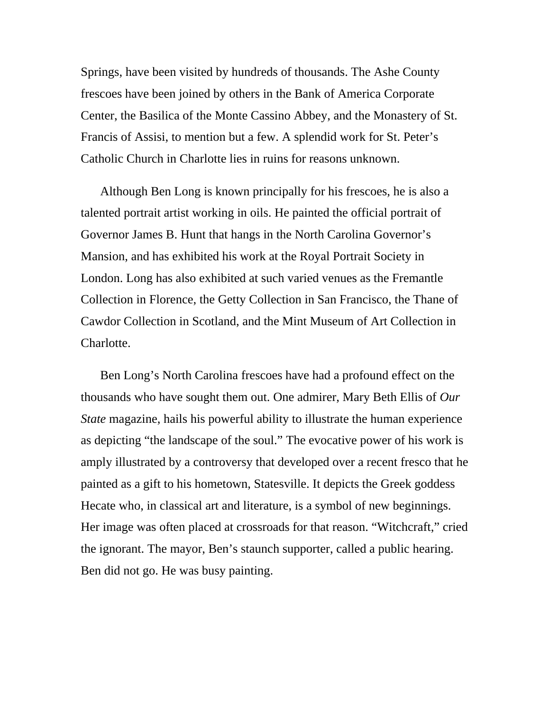Springs, have been visited by hundreds of thousands. The Ashe County frescoes have been joined by others in the Bank of America Corporate Center, the Basilica of the Monte Cassino Abbey, and the Monastery of St. Francis of Assisi, to mention but a few. A splendid work for St. Peter's Catholic Church in Charlotte lies in ruins for reasons unknown.

Although Ben Long is known principally for his frescoes, he is also a talented portrait artist working in oils. He painted the official portrait of Governor James B. Hunt that hangs in the North Carolina Governor's Mansion, and has exhibited his work at the Royal Portrait Society in London. Long has also exhibited at such varied venues as the Fremantle Collection in Florence, the Getty Collection in San Francisco, the Thane of Cawdor Collection in Scotland, and the Mint Museum of Art Collection in Charlotte.

Ben Long's North Carolina frescoes have had a profound effect on the thousands who have sought them out. One admirer, Mary Beth Ellis of *Our State* magazine, hails his powerful ability to illustrate the human experience as depicting "the landscape of the soul." The evocative power of his work is amply illustrated by a controversy that developed over a recent fresco that he painted as a gift to his hometown, Statesville. It depicts the Greek goddess Hecate who, in classical art and literature, is a symbol of new beginnings. Her image was often placed at crossroads for that reason. "Witchcraft," cried the ignorant. The mayor, Ben's staunch supporter, called a public hearing. Ben did not go. He was busy painting.